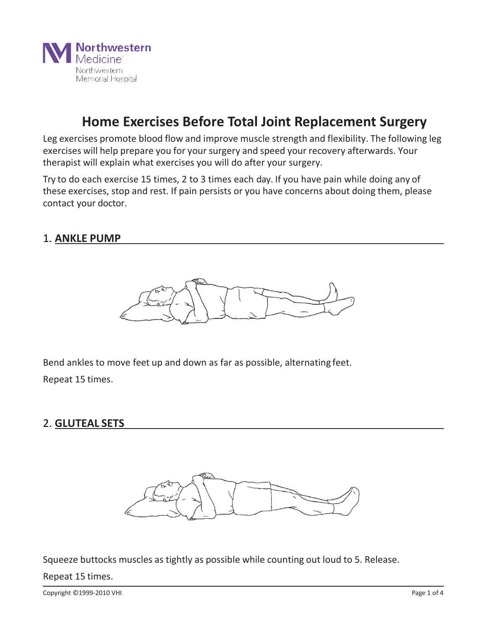

Leg exercises promote blood flow and improve muscle strength and flexibility. The following leg exercises will help prepare you for your surgery and speed your recovery afterwards. Your therapist will explain what exercises you will do after your surgery.

Try to do each exercise 15 times, 2 to 3 times each day. If you have pain while doing any of these exercises, stop and rest. If pain persists or you have concerns about doing them, please contact your doctor.

#### 1. **ANKLE PUMP**



Bend ankles to move feet up and down as far as possible, alternating feet. Repeat 15 times.

#### 2. **GLUTEAL SETS**



Squeeze buttocks muscles as tightly as possible while counting out loud to 5. Release. Repeat 15 times.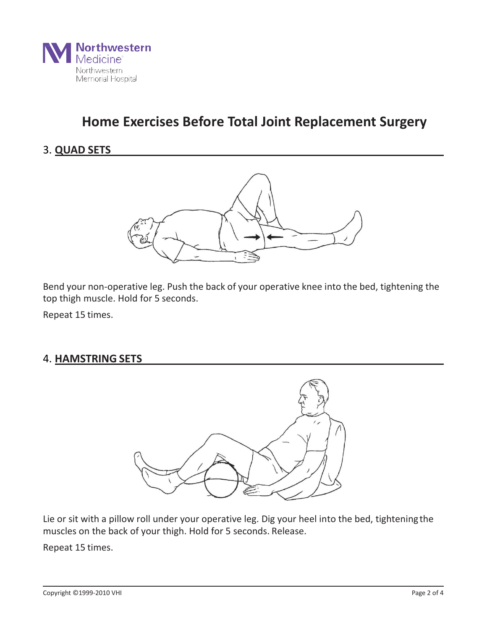

### 3. **QUAD SETS**



Bend your non-operative leg. Push the back of your operative knee into the bed, tightening the top thigh muscle. Hold for 5 seconds.

Repeat 15 times.

#### 4. **HAMSTRING SETS**



Lie or sit with a pillow roll under your operative leg. Dig your heel into the bed, tighteningthe muscles on the back of your thigh. Hold for 5 seconds. Release.

Repeat 15 times.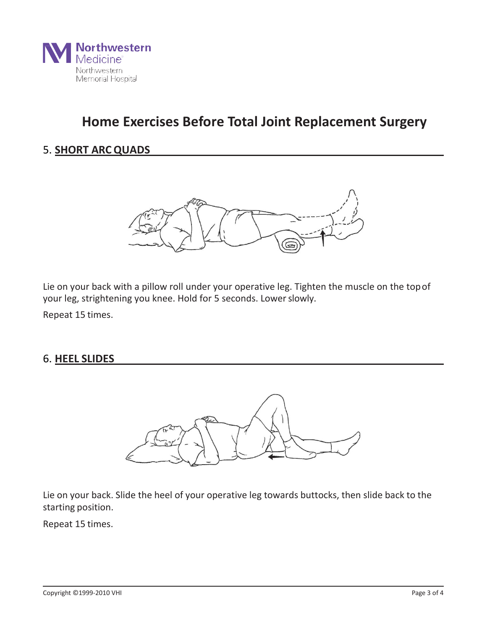

### 5. **SHORT ARCQUADS**



Lie on your back with a pillow roll under your operative leg. Tighten the muscle on the topof your leg, strightening you knee. Hold for 5 seconds. Lowerslowly.

Repeat 15 times.

#### 6. **HEEL SLIDES**



Lie on your back. Slide the heel of your operative leg towards buttocks, then slide back to the starting position.

Repeat 15 times.